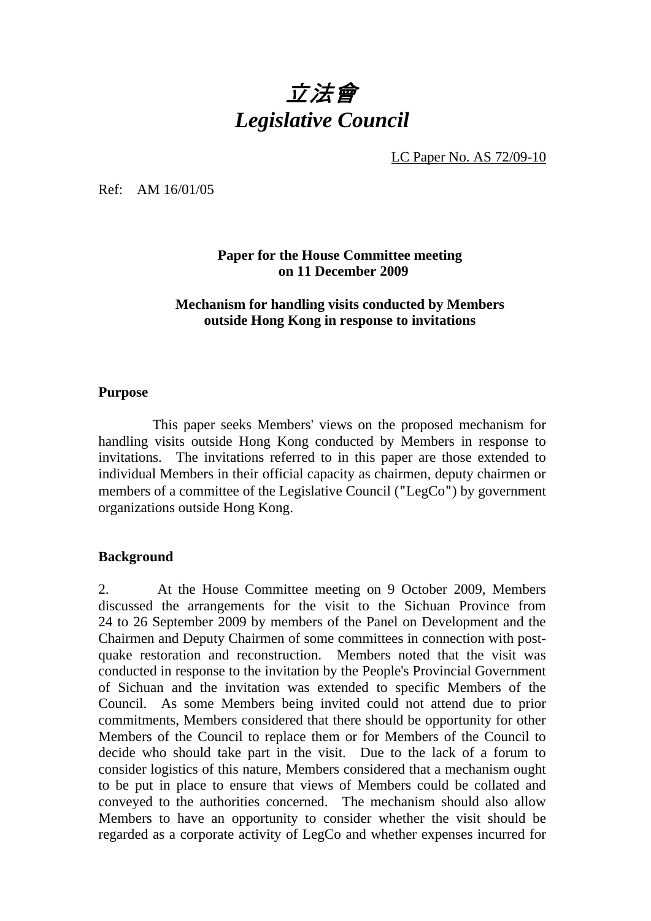# 立法會 *Legislative Council*

LC Paper No. AS 72/09-10

Ref: AM 16/01/05

**Paper for the House Committee meeting on 11 December 2009** 

#### **Mechanism for handling visits conducted by Members outside Hong Kong in response to invitations**

#### **Purpose**

 This paper seeks Members' views on the proposed mechanism for handling visits outside Hong Kong conducted by Members in response to invitations. The invitations referred to in this paper are those extended to individual Members in their official capacity as chairmen, deputy chairmen or members of a committee of the Legislative Council ("LegCo") by government organizations outside Hong Kong.

#### **Background**

2. At the House Committee meeting on 9 October 2009, Members discussed the arrangements for the visit to the Sichuan Province from 24 to 26 September 2009 by members of the Panel on Development and the Chairmen and Deputy Chairmen of some committees in connection with postquake restoration and reconstruction. Members noted that the visit was conducted in response to the invitation by the People's Provincial Government of Sichuan and the invitation was extended to specific Members of the Council. As some Members being invited could not attend due to prior commitments, Members considered that there should be opportunity for other Members of the Council to replace them or for Members of the Council to decide who should take part in the visit. Due to the lack of a forum to consider logistics of this nature, Members considered that a mechanism ought to be put in place to ensure that views of Members could be collated and conveyed to the authorities concerned. The mechanism should also allow Members to have an opportunity to consider whether the visit should be regarded as a corporate activity of LegCo and whether expenses incurred for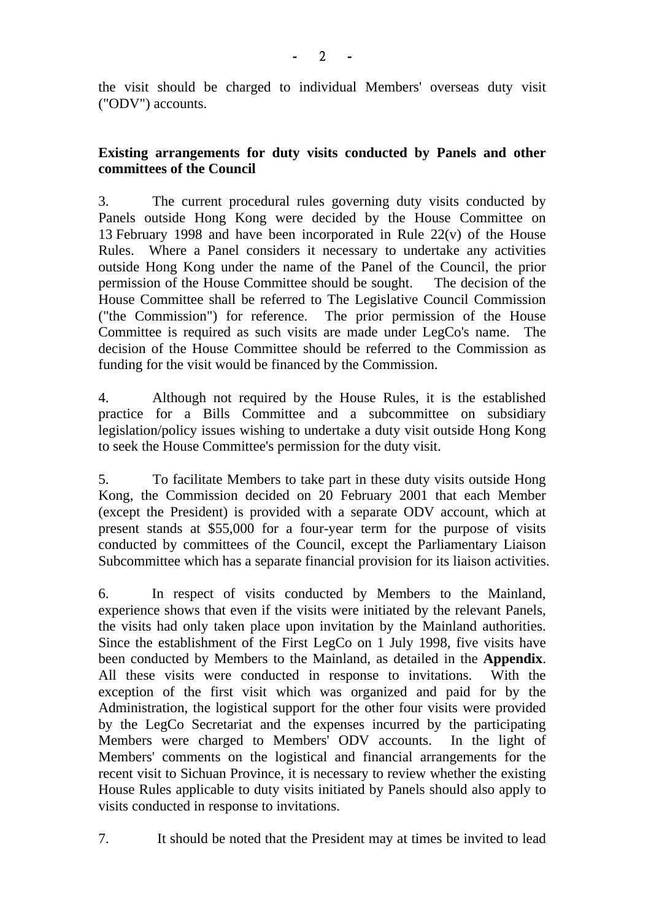the visit should be charged to individual Members' overseas duty visit ("ODV") accounts.

## **Existing arrangements for duty visits conducted by Panels and other committees of the Council**

3. The current procedural rules governing duty visits conducted by Panels outside Hong Kong were decided by the House Committee on 13 February 1998 and have been incorporated in Rule 22(v) of the House Rules. Where a Panel considers it necessary to undertake any activities outside Hong Kong under the name of the Panel of the Council, the prior permission of the House Committee should be sought. The decision of the House Committee shall be referred to The Legislative Council Commission ("the Commission") for reference. The prior permission of the House Committee is required as such visits are made under LegCo's name. The decision of the House Committee should be referred to the Commission as funding for the visit would be financed by the Commission.

4. Although not required by the House Rules, it is the established practice for a Bills Committee and a subcommittee on subsidiary legislation/policy issues wishing to undertake a duty visit outside Hong Kong to seek the House Committee's permission for the duty visit.

5. To facilitate Members to take part in these duty visits outside Hong Kong, the Commission decided on 20 February 2001 that each Member (except the President) is provided with a separate ODV account, which at present stands at \$55,000 for a four-year term for the purpose of visits conducted by committees of the Council, except the Parliamentary Liaison Subcommittee which has a separate financial provision for its liaison activities.

6.In respect of visits conducted by Members to the Mainland, experience shows that even if the visits were initiated by the relevant Panels, the visits had only taken place upon invitation by the Mainland authorities. Since the establishment of the First LegCo on 1 July 1998, five visits have been conducted by Members to the Mainland, as detailed in the **Appendix**. All these visits were conducted in response to invitations. With the exception of the first visit which was organized and paid for by the Administration, the logistical support for the other four visits were provided by the LegCo Secretariat and the expenses incurred by the participating Members were charged to Members' ODV accounts. In the light of Members' comments on the logistical and financial arrangements for the recent visit to Sichuan Province, it is necessary to review whether the existing House Rules applicable to duty visits initiated by Panels should also apply to visits conducted in response to invitations.

7. It should be noted that the President may at times be invited to lead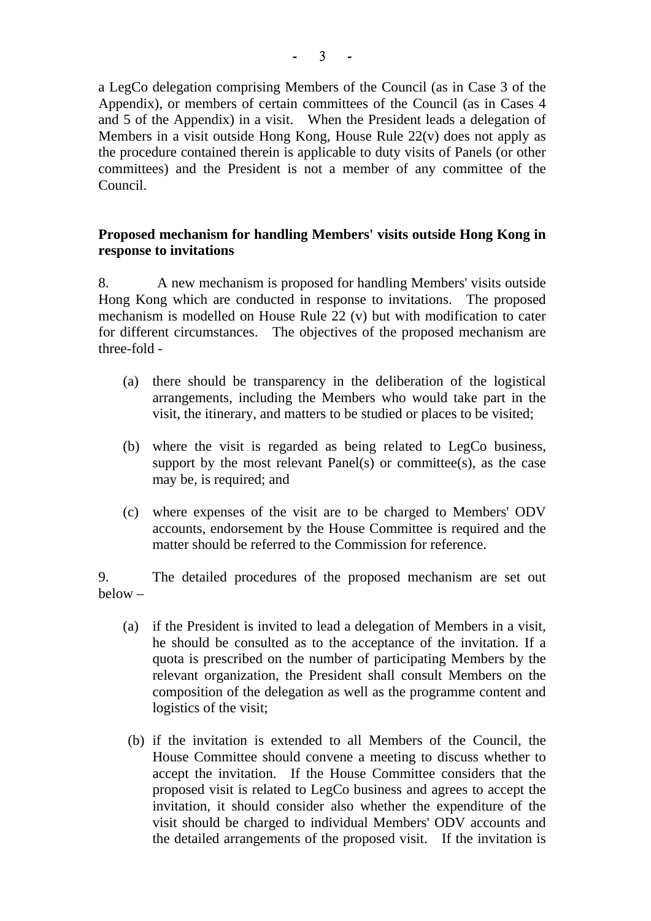a LegCo delegation comprising Members of the Council (as in Case 3 of the Appendix), or members of certain committees of the Council (as in Cases 4 and 5 of the Appendix) in a visit. When the President leads a delegation of Members in a visit outside Hong Kong, House Rule 22(v) does not apply as the procedure contained therein is applicable to duty visits of Panels (or other committees) and the President is not a member of any committee of the Council.

## **Proposed mechanism for handling Members' visits outside Hong Kong in response to invitations**

8. A new mechanism is proposed for handling Members' visits outside Hong Kong which are conducted in response to invitations. The proposed mechanism is modelled on House Rule 22 (v) but with modification to cater for different circumstances. The objectives of the proposed mechanism are three-fold -

- (a) there should be transparency in the deliberation of the logistical arrangements, including the Members who would take part in the visit, the itinerary, and matters to be studied or places to be visited;
- (b) where the visit is regarded as being related to LegCo business, support by the most relevant Panel(s) or committee(s), as the case may be, is required; and
- (c) where expenses of the visit are to be charged to Members' ODV accounts, endorsement by the House Committee is required and the matter should be referred to the Commission for reference.

9. The detailed procedures of the proposed mechanism are set out below –

- (a) if the President is invited to lead a delegation of Members in a visit, he should be consulted as to the acceptance of the invitation. If a quota is prescribed on the number of participating Members by the relevant organization, the President shall consult Members on the composition of the delegation as well as the programme content and logistics of the visit;
- (b) if the invitation is extended to all Members of the Council, the House Committee should convene a meeting to discuss whether to accept the invitation. If the House Committee considers that the proposed visit is related to LegCo business and agrees to accept the invitation, it should consider also whether the expenditure of the visit should be charged to individual Members' ODV accounts and the detailed arrangements of the proposed visit. If the invitation is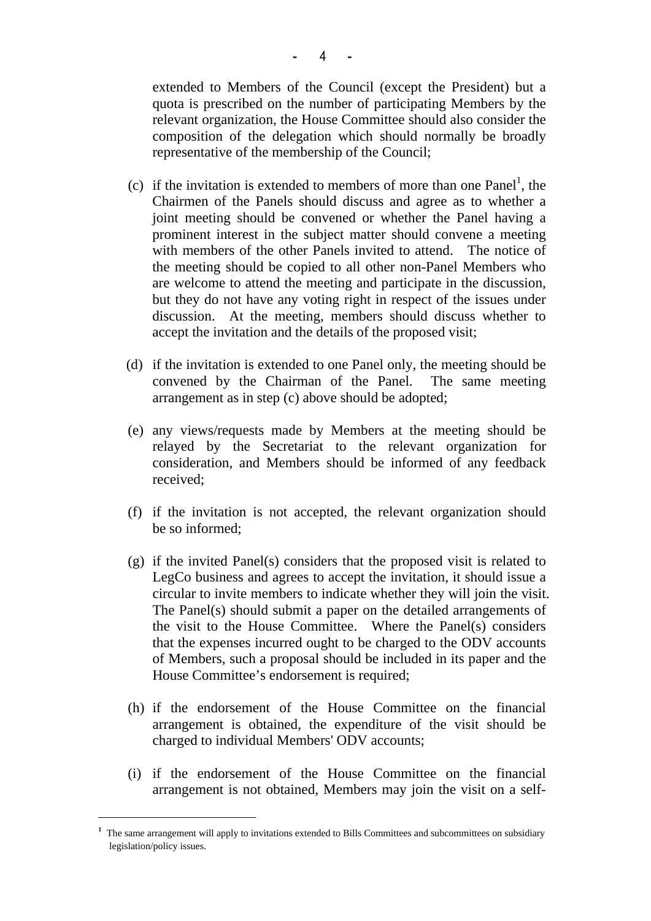extended to Members of the Council (except the President) but a quota is prescribed on the number of participating Members by the relevant organization, the House Committee should also consider the composition of the delegation which should normally be broadly representative of the membership of the Council;

- (c) if the invitation is extended to members of more than one Panel<sup>1</sup>, the Chairmen of the Panels should discuss and agree as to whether a joint meeting should be convened or whether the Panel having a prominent interest in the subject matter should convene a meeting with members of the other Panels invited to attend. The notice of the meeting should be copied to all other non-Panel Members who are welcome to attend the meeting and participate in the discussion, but they do not have any voting right in respect of the issues under discussion. At the meeting, members should discuss whether to accept the invitation and the details of the proposed visit;
- (d) if the invitation is extended to one Panel only, the meeting should be convened by the Chairman of the Panel. The same meeting arrangement as in step (c) above should be adopted;
- (e) any views/requests made by Members at the meeting should be relayed by the Secretariat to the relevant organization for consideration, and Members should be informed of any feedback received;
- (f) if the invitation is not accepted, the relevant organization should be so informed;
- (g) if the invited Panel(s) considers that the proposed visit is related to LegCo business and agrees to accept the invitation, it should issue a circular to invite members to indicate whether they will join the visit. The Panel(s) should submit a paper on the detailed arrangements of the visit to the House Committee. Where the Panel(s) considers that the expenses incurred ought to be charged to the ODV accounts of Members, such a proposal should be included in its paper and the House Committee's endorsement is required;
- (h) if the endorsement of the House Committee on the financial arrangement is obtained, the expenditure of the visit should be charged to individual Members' ODV accounts;
- (i) if the endorsement of the House Committee on the financial arrangement is not obtained, Members may join the visit on a self-

 $\frac{1}{1}$  The same arrangement will apply to invitations extended to Bills Committees and subcommittees on subsidiary legislation/policy issues.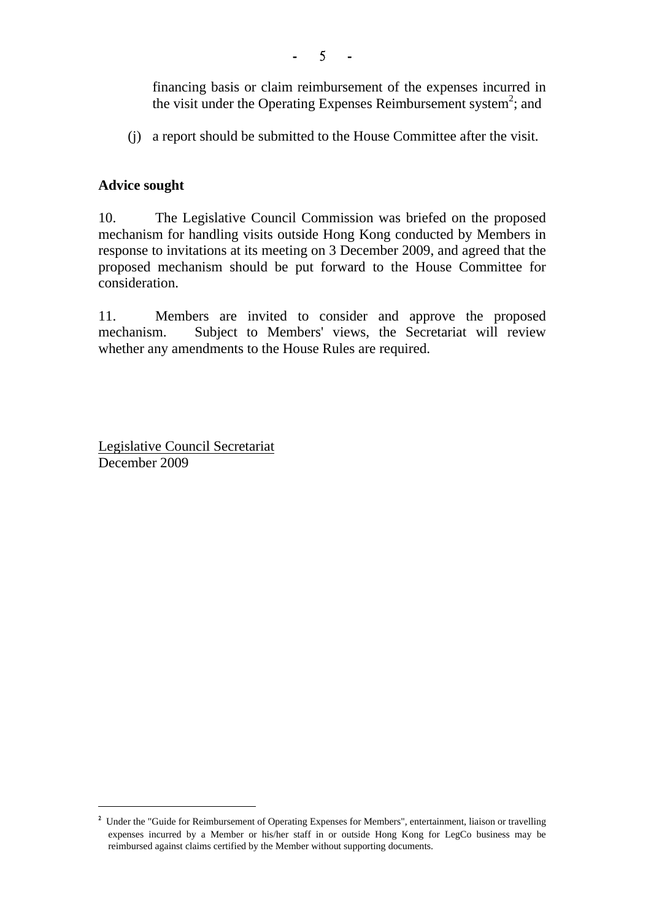- 5 -

financing basis or claim reimbursement of the expenses incurred in the visit under the Operating Expenses Reimbursement system<sup>2</sup>; and

(j) a report should be submitted to the House Committee after the visit.

# **Advice sought**

10. The Legislative Council Commission was briefed on the proposed mechanism for handling visits outside Hong Kong conducted by Members in response to invitations at its meeting on 3 December 2009, and agreed that the proposed mechanism should be put forward to the House Committee for consideration.

11. Members are invited to consider and approve the proposed mechanism. Subject to Members' views, the Secretariat will review whether any amendments to the House Rules are required.

Legislative Council Secretariat December 2009

 <sup>2</sup> Under the "Guide for Reimbursement of Operating Expenses for Members", entertainment, liaison or travelling expenses incurred by a Member or his/her staff in or outside Hong Kong for LegCo business may be reimbursed against claims certified by the Member without supporting documents.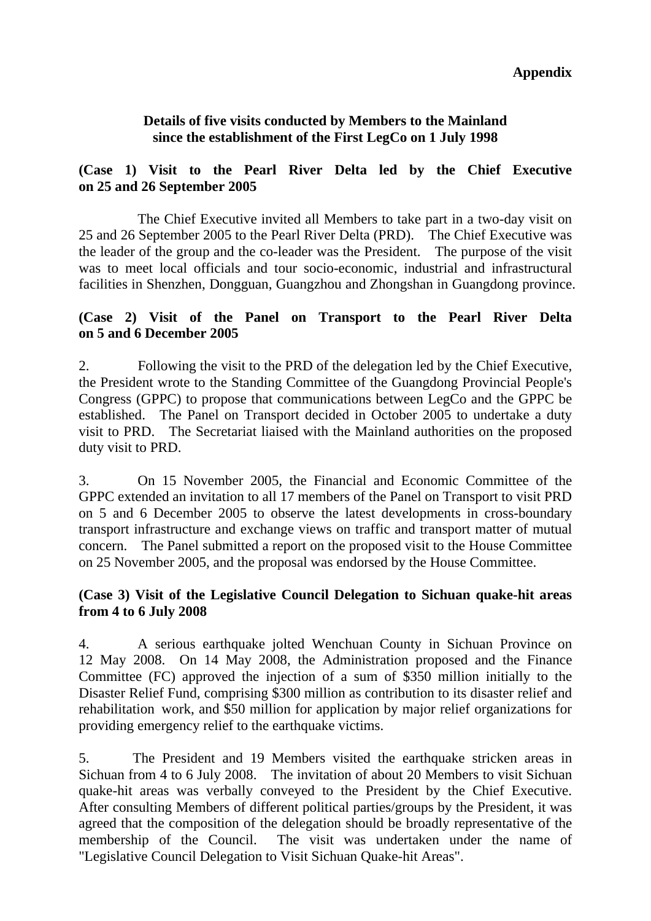#### **Details of five visits conducted by Members to the Mainland since the establishment of the First LegCo on 1 July 1998**

# **(Case 1) Visit to the Pearl River Delta led by the Chief Executive on 25 and 26 September 2005**

 The Chief Executive invited all Members to take part in a two-day visit on 25 and 26 September 2005 to the Pearl River Delta (PRD). The Chief Executive was the leader of the group and the co-leader was the President. The purpose of the visit was to meet local officials and tour socio-economic, industrial and infrastructural facilities in Shenzhen, Dongguan, Guangzhou and Zhongshan in Guangdong province.

#### **(Case 2) Visit of the Panel on Transport to the Pearl River Delta on 5 and 6 December 2005**

2. Following the visit to the PRD of the delegation led by the Chief Executive, the President wrote to the Standing Committee of the Guangdong Provincial People's Congress (GPPC) to propose that communications between LegCo and the GPPC be established. The Panel on Transport decided in October 2005 to undertake a duty visit to PRD. The Secretariat liaised with the Mainland authorities on the proposed duty visit to PRD.

3. On 15 November 2005, the Financial and Economic Committee of the GPPC extended an invitation to all 17 members of the Panel on Transport to visit PRD on 5 and 6 December 2005 to observe the latest developments in cross-boundary transport infrastructure and exchange views on traffic and transport matter of mutual concern. The Panel submitted a report on the proposed visit to the House Committee on 25 November 2005, and the proposal was endorsed by the House Committee.

## **(Case 3) Visit of the Legislative Council Delegation to Sichuan quake-hit areas from 4 to 6 July 2008**

4. A serious earthquake jolted Wenchuan County in Sichuan Province on 12 May 2008. On 14 May 2008, the Administration proposed and the Finance Committee (FC) approved the injection of a sum of \$350 million initially to the Disaster Relief Fund, comprising \$300 million as contribution to its disaster relief and rehabilitation work, and \$50 million for application by major relief organizations for providing emergency relief to the earthquake victims.

5. The President and 19 Members visited the earthquake stricken areas in Sichuan from 4 to 6 July 2008. The invitation of about 20 Members to visit Sichuan quake-hit areas was verbally conveyed to the President by the Chief Executive. After consulting Members of different political parties/groups by the President, it was agreed that the composition of the delegation should be broadly representative of the membership of the Council. The visit was undertaken under the name of "Legislative Council Delegation to Visit Sichuan Quake-hit Areas".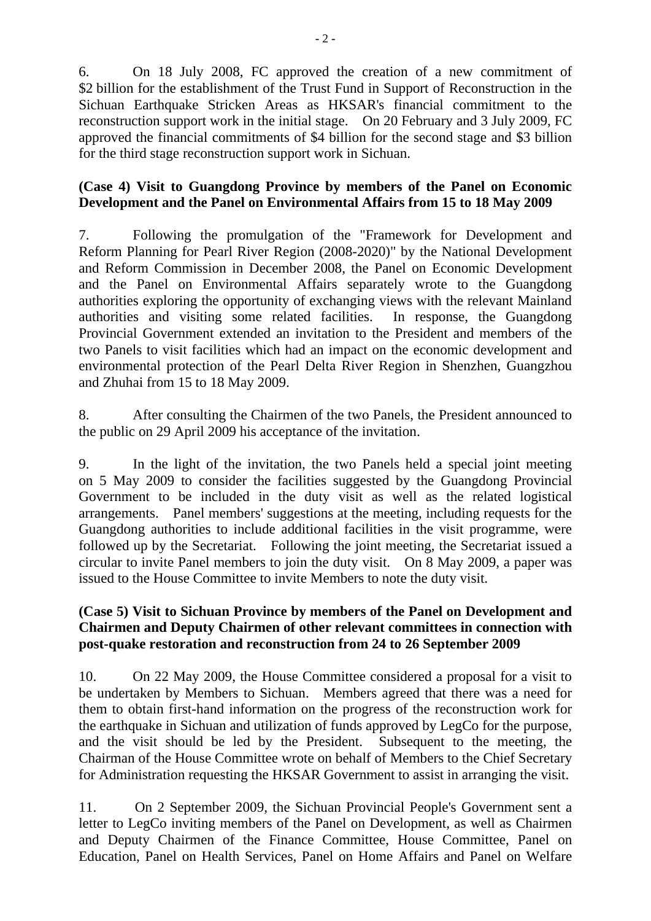6. On 18 July 2008, FC approved the creation of a new commitment of \$2 billion for the establishment of the Trust Fund in Support of Reconstruction in the Sichuan Earthquake Stricken Areas as HKSAR's financial commitment to the reconstruction support work in the initial stage. On 20 February and 3 July 2009, FC approved the financial commitments of \$4 billion for the second stage and \$3 billion for the third stage reconstruction support work in Sichuan.

## **(Case 4) Visit to Guangdong Province by members of the Panel on Economic Development and the Panel on Environmental Affairs from 15 to 18 May 2009**

7. Following the promulgation of the "Framework for Development and Reform Planning for Pearl River Region (2008-2020)" by the National Development and Reform Commission in December 2008, the Panel on Economic Development and the Panel on Environmental Affairs separately wrote to the Guangdong authorities exploring the opportunity of exchanging views with the relevant Mainland authorities and visiting some related facilities. In response, the Guangdong Provincial Government extended an invitation to the President and members of the two Panels to visit facilities which had an impact on the economic development and environmental protection of the Pearl Delta River Region in Shenzhen, Guangzhou and Zhuhai from 15 to 18 May 2009.

8. After consulting the Chairmen of the two Panels, the President announced to the public on 29 April 2009 his acceptance of the invitation.

9. In the light of the invitation, the two Panels held a special joint meeting on 5 May 2009 to consider the facilities suggested by the Guangdong Provincial Government to be included in the duty visit as well as the related logistical arrangements. Panel members' suggestions at the meeting, including requests for the Guangdong authorities to include additional facilities in the visit programme, were followed up by the Secretariat. Following the joint meeting, the Secretariat issued a circular to invite Panel members to join the duty visit. On 8 May 2009, a paper was issued to the House Committee to invite Members to note the duty visit.

# **(Case 5) Visit to Sichuan Province by members of the Panel on Development and Chairmen and Deputy Chairmen of other relevant committees in connection with post-quake restoration and reconstruction from 24 to 26 September 2009**

10. On 22 May 2009, the House Committee considered a proposal for a visit to be undertaken by Members to Sichuan. Members agreed that there was a need for them to obtain first-hand information on the progress of the reconstruction work for the earthquake in Sichuan and utilization of funds approved by LegCo for the purpose, and the visit should be led by the President. Subsequent to the meeting, the Chairman of the House Committee wrote on behalf of Members to the Chief Secretary for Administration requesting the HKSAR Government to assist in arranging the visit.

11. On 2 September 2009, the Sichuan Provincial People's Government sent a letter to LegCo inviting members of the Panel on Development, as well as Chairmen and Deputy Chairmen of the Finance Committee, House Committee, Panel on Education, Panel on Health Services, Panel on Home Affairs and Panel on Welfare